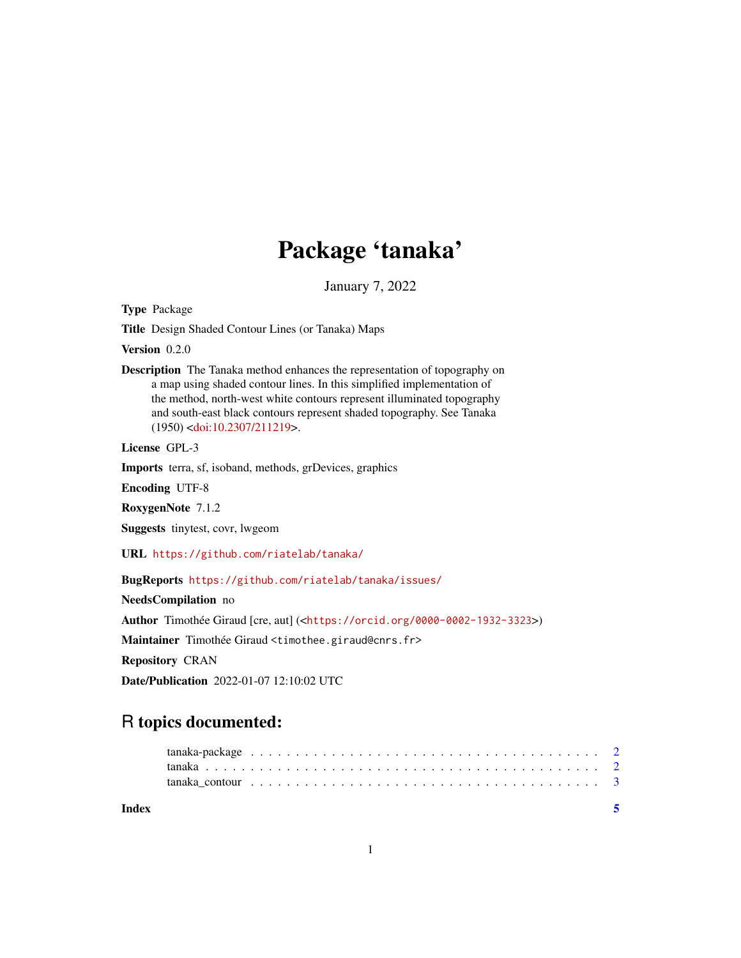## Package 'tanaka'

January 7, 2022

Type Package

Title Design Shaded Contour Lines (or Tanaka) Maps

Version 0.2.0

Description The Tanaka method enhances the representation of topography on a map using shaded contour lines. In this simplified implementation of the method, north-west white contours represent illuminated topography and south-east black contours represent shaded topography. See Tanaka (1950) [<doi:10.2307/211219>](https://doi.org/10.2307/211219).

License GPL-3

Imports terra, sf, isoband, methods, grDevices, graphics

Encoding UTF-8

RoxygenNote 7.1.2

Suggests tinytest, covr, lwgeom

URL <https://github.com/riatelab/tanaka/>

BugReports <https://github.com/riatelab/tanaka/issues/>

NeedsCompilation no Author Timothée Giraud [cre, aut] (<<https://orcid.org/0000-0002-1932-3323>>) Maintainer Timothée Giraud <timothee.giraud@cnrs.fr> Repository CRAN Date/Publication 2022-01-07 12:10:02 UTC

### R topics documented:

| Index |                                                                                                             |  |  |  |  |  |  |  |  |  |  |  |  |  |  |  |  |  |  |
|-------|-------------------------------------------------------------------------------------------------------------|--|--|--|--|--|--|--|--|--|--|--|--|--|--|--|--|--|--|
|       | tanaka contour $\ldots \ldots \ldots \ldots \ldots \ldots \ldots \ldots \ldots \ldots \ldots \ldots \ldots$ |  |  |  |  |  |  |  |  |  |  |  |  |  |  |  |  |  |  |
|       |                                                                                                             |  |  |  |  |  |  |  |  |  |  |  |  |  |  |  |  |  |  |
|       |                                                                                                             |  |  |  |  |  |  |  |  |  |  |  |  |  |  |  |  |  |  |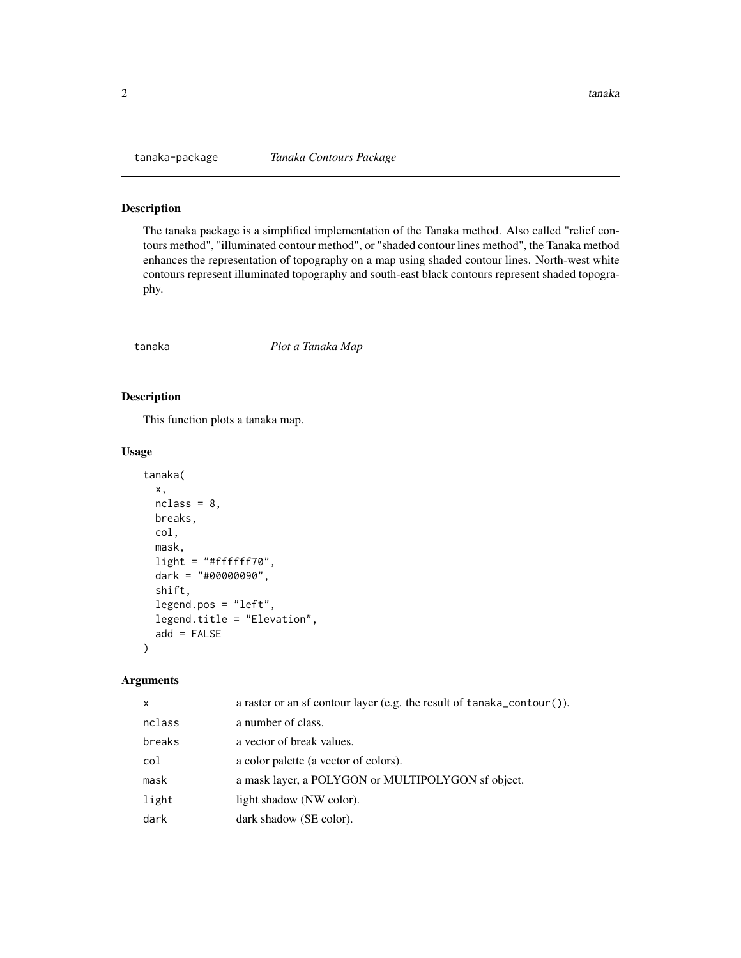<span id="page-1-0"></span>

#### Description

The tanaka package is a simplified implementation of the Tanaka method. Also called "relief contours method", "illuminated contour method", or "shaded contour lines method", the Tanaka method enhances the representation of topography on a map using shaded contour lines. North-west white contours represent illuminated topography and south-east black contours represent shaded topography.

tanaka *Plot a Tanaka Map*

#### Description

This function plots a tanaka map.

#### Usage

```
tanaka(
  x,
 nclass = 8,
 breaks,
 col,
 mask,
 light = "#ffffff70",
 dark = "#00000090",
  shift,
  legend.pos = "left",
  legend.title = "Elevation",
  add = FALSE)
```
#### Arguments

| x      | a raster or an sf contour layer (e.g. the result of tanaka_contour()). |
|--------|------------------------------------------------------------------------|
| nclass | a number of class.                                                     |
| breaks | a vector of break values.                                              |
| col    | a color palette (a vector of colors).                                  |
| mask   | a mask layer, a POLYGON or MULTIPOLYGON sf object.                     |
| light  | light shadow (NW color).                                               |
| dark   | dark shadow (SE color).                                                |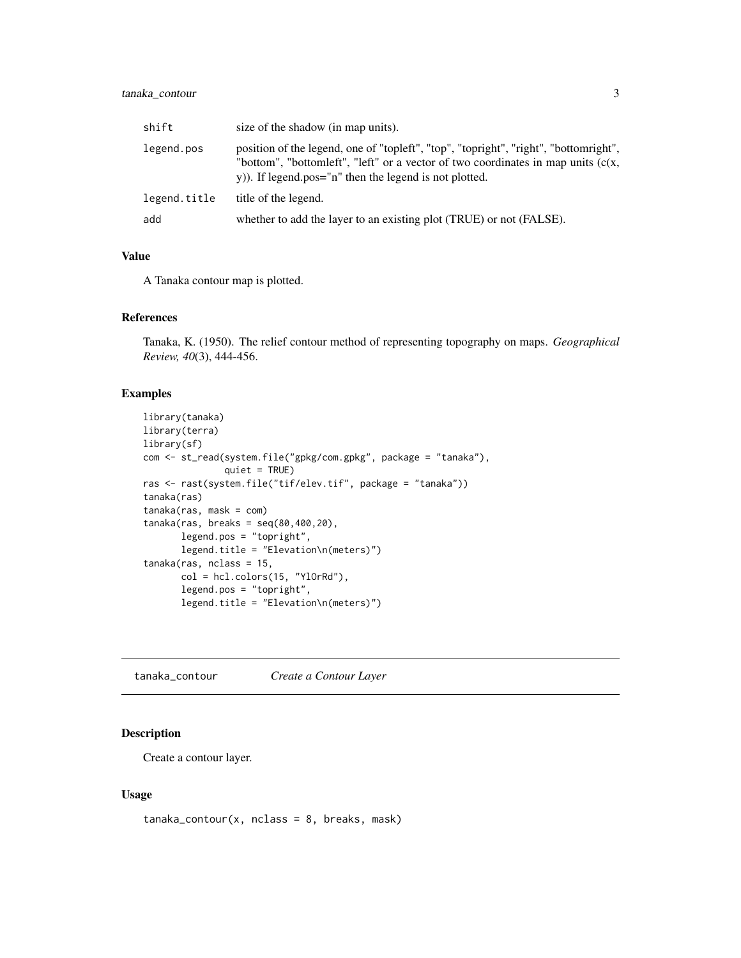#### <span id="page-2-0"></span>tanaka\_contour 3

| shift        | size of the shadow (in map units).                                                                                                                                                                                                   |
|--------------|--------------------------------------------------------------------------------------------------------------------------------------------------------------------------------------------------------------------------------------|
| legend.pos   | position of the legend, one of "topleft", "top", "topright", "right", "bottomright",<br>"bottom", "bottomleft", "left" or a vector of two coordinates in map units $(c(x,$<br>y)). If legend.pos="n" then the legend is not plotted. |
| legend.title | title of the legend.                                                                                                                                                                                                                 |
| add          | whether to add the layer to an existing plot (TRUE) or not (FALSE).                                                                                                                                                                  |

#### Value

A Tanaka contour map is plotted.

#### References

Tanaka, K. (1950). The relief contour method of representing topography on maps. *Geographical Review, 40*(3), 444-456.

#### Examples

```
library(tanaka)
library(terra)
library(sf)
com <- st_read(system.file("gpkg/com.gpkg", package = "tanaka"),
              quiet = TRUE)
ras <- rast(system.file("tif/elev.tif", package = "tanaka"))
tanaka(ras)
tanaka(ras, mask = com)
tanaka(ras, breaks = seq(80,400,20),
      legend.pos = "topright",
      legend.title = "Elevation\n(meters)")
tanaka(ras, nclass = 15,
      col = hcl.colors(15, "YlOrRd"),
      legend.pos = "topright",
       legend.title = "Elevation\n(meters)")
```
tanaka\_contour *Create a Contour Layer*

#### Description

Create a contour layer.

#### Usage

 $t$ anaka\_contour(x, nclass = 8, breaks, mask)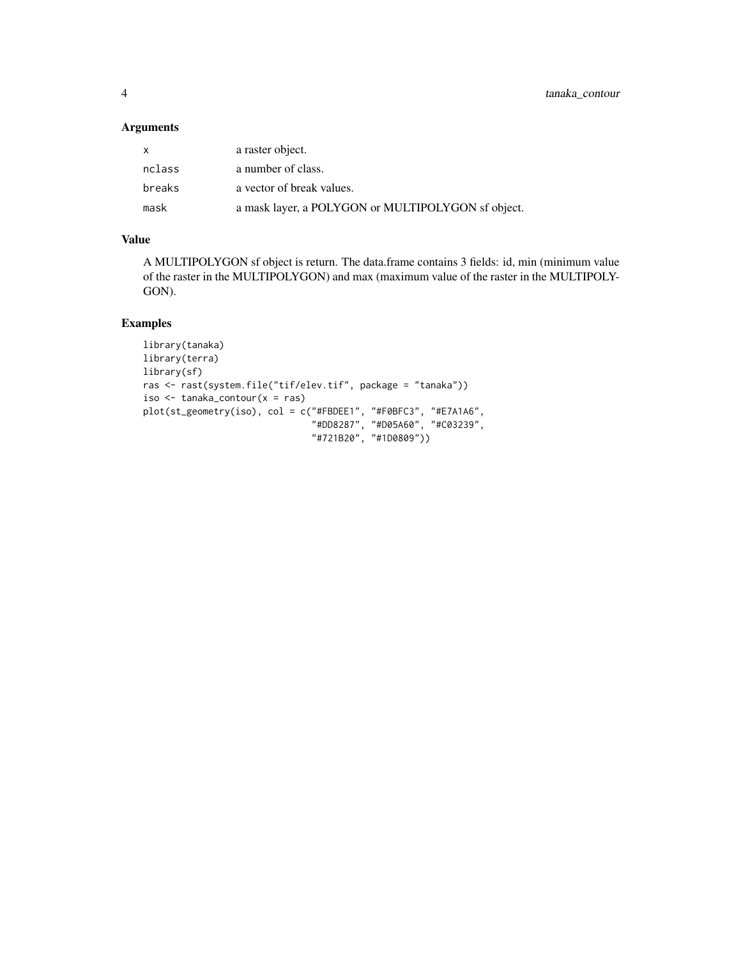#### Arguments

| X      | a raster object.                                   |
|--------|----------------------------------------------------|
| nclass | a number of class.                                 |
| breaks | a vector of break values.                          |
| mask   | a mask layer, a POLYGON or MULTIPOLYGON sf object. |

#### Value

A MULTIPOLYGON sf object is return. The data.frame contains 3 fields: id, min (minimum value of the raster in the MULTIPOLYGON) and max (maximum value of the raster in the MULTIPOLY-GON).

#### Examples

```
library(tanaka)
library(terra)
library(sf)
ras <- rast(system.file("tif/elev.tif", package = "tanaka"))
iso \le tanaka_contour(x = ras)
plot(st_geometry(iso), col = c("#FBDEE1", "#F0BFC3", "#E7A1A6",
                                "#DD8287", "#D05A60", "#C03239",
                                "#721B20", "#1D0809"))
```